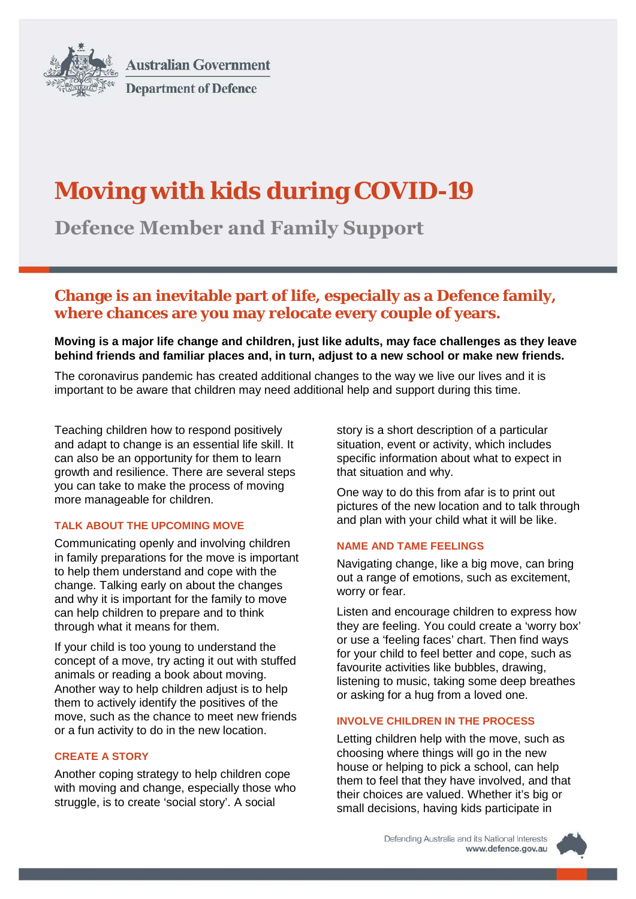

**Australian Government Department of Defence** 

# **Moving with kids during COVID-19**

**Defence Member and Family Support**

# **Change is an inevitable part of life, especially as a Defence family, where chances are you may relocate every couple of years.**

**Moving is a major life change and children, just like adults, may face challenges as they leave behind friends and familiar places and, in turn, adjust to a new school or make new friends.**

The coronavirus pandemic has created additional changes to the way we live our lives and it is important to be aware that children may need additional help and support during this time.

Teaching children how to respond positively and adapt to change is an essential life skill. It can also be an opportunity for them to learn growth and resilience. There are several steps you can take to make the process of moving more manageable for children.

# **TALK ABOUT THE UPCOMING MOVE**

Communicating openly and involving children in family preparations for the move is important to help them understand and cope with the change. Talking early on about the changes and why it is important for the family to move can help children to prepare and to think through what it means for them.

If your child is too young to understand the concept of a move, try acting it out with stuffed animals or reading a book about moving. Another way to help children adjust is to help them to actively identify the positives of the move, such as the chance to meet new friends or a fun activity to do in the new location.

# **CREATE A STORY**

Another coping strategy to help children cope with moving and change, especially those who struggle, is to create 'social story'. A social

story is a short description of a particular situation, event or activity, which includes specific information about what to expect in that situation and why.

One way to do this from afar is to print out pictures of the new location and to talk through and plan with your child what it will be like.

#### **NAME AND TAME FEELINGS**

Navigating change, like a big move, can bring out a range of emotions, such as excitement, worry or fear.

Listen and encourage children to express how they are feeling. You could create a 'worry box' or use a 'feeling faces' chart. Then find ways for your child to feel better and cope, such as favourite activities like bubbles, drawing, listening to music, taking some deep breathes or asking for a hug from a loved one.

# **INVOLVE CHILDREN IN THE PROCESS**

Letting children help with the move, such as choosing where things will go in the new house or helping to pick a school, can help them to feel that they have involved, and that their choices are valued. Whether it's big or small decisions, having kids participate in